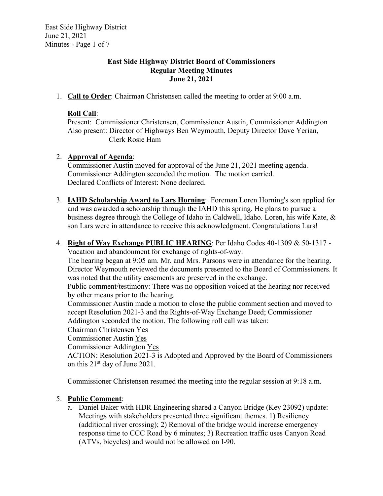East Side Highway District June 21, 2021 Minutes - Page 1 of 7

#### **East Side Highway District Board of Commissioners Regular Meeting Minutes June 21, 2021**

1. **Call to Order**: Chairman Christensen called the meeting to order at 9:00 a.m.

### **Roll Call**:

Present: Commissioner Christensen, Commissioner Austin, Commissioner Addington Also present: Director of Highways Ben Weymouth, Deputy Director Dave Yerian, Clerk Rosie Ham

### 2. **Approval of Agenda**:

Commissioner Austin moved for approval of the June 21, 2021 meeting agenda. Commissioner Addington seconded the motion. The motion carried. Declared Conflicts of Interest: None declared.

- 3. **IAHD Scholarship Award to Lars Horning**: Foreman Loren Horning's son applied for and was awarded a scholarship through the IAHD this spring. He plans to pursue a business degree through the College of Idaho in Caldwell, Idaho. Loren, his wife Kate, & son Lars were in attendance to receive this acknowledgment. Congratulations Lars!
- 4. **Right of Way Exchange PUBLIC HEARING**: Per Idaho Codes 40-1309 & 50-1317 Vacation and abandonment for exchange of rights-of-way.

The hearing began at 9:05 am. Mr. and Mrs. Parsons were in attendance for the hearing. Director Weymouth reviewed the documents presented to the Board of Commissioners. It was noted that the utility easements are preserved in the exchange.

Public comment/testimony: There was no opposition voiced at the hearing nor received by other means prior to the hearing.

Commissioner Austin made a motion to close the public comment section and moved to accept Resolution 2021-3 and the Rights-of-Way Exchange Deed; Commissioner Addington seconded the motion. The following roll call was taken:

Chairman Christensen Yes

Commissioner Austin Yes

Commissioner Addington Yes

ACTION: Resolution 2021-3 is Adopted and Approved by the Board of Commissioners on this  $21<sup>st</sup>$  day of June 2021.

Commissioner Christensen resumed the meeting into the regular session at 9:18 a.m.

# 5. **Public Comment**:

a. Daniel Baker with HDR Engineering shared a Canyon Bridge (Key 23092) update: Meetings with stakeholders presented three significant themes. 1) Resiliency (additional river crossing); 2) Removal of the bridge would increase emergency response time to CCC Road by 6 minutes; 3) Recreation traffic uses Canyon Road (ATVs, bicycles) and would not be allowed on I-90.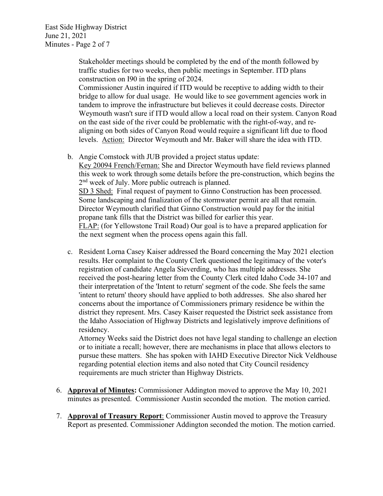East Side Highway District June 21, 2021 Minutes - Page 2 of 7

> Stakeholder meetings should be completed by the end of the month followed by traffic studies for two weeks, then public meetings in September. ITD plans construction on I90 in the spring of 2024.

Commissioner Austin inquired if ITD would be receptive to adding width to their bridge to allow for dual usage. He would like to see government agencies work in tandem to improve the infrastructure but believes it could decrease costs. Director Weymouth wasn't sure if ITD would allow a local road on their system. Canyon Road on the east side of the river could be problematic with the right-of-way, and realigning on both sides of Canyon Road would require a significant lift due to flood levels. Action: Director Weymouth and Mr. Baker will share the idea with ITD.

b. Angie Comstock with JUB provided a project status update:

Key 20094 French/Fernan: She and Director Weymouth have field reviews planned this week to work through some details before the pre-construction, which begins the 2<sup>nd</sup> week of July. More public outreach is planned. SD 3 Shed: Final request of payment to Ginno Construction has been processed. Some landscaping and finalization of the stormwater permit are all that remain. Director Weymouth clarified that Ginno Construction would pay for the initial propane tank fills that the District was billed for earlier this year. FLAP: (for Yellowstone Trail Road) Our goal is to have a prepared application for the next segment when the process opens again this fall.

c. Resident Lorna Casey Kaiser addressed the Board concerning the May 2021 election results. Her complaint to the County Clerk questioned the legitimacy of the voter's registration of candidate Angela Sieverding, who has multiple addresses. She received the post-hearing letter from the County Clerk cited Idaho Code 34-107 and their interpretation of the 'Intent to return' segment of the code. She feels the same 'intent to return' theory should have applied to both addresses. She also shared her concerns about the importance of Commissioners primary residence be within the district they represent. Mrs. Casey Kaiser requested the District seek assistance from the Idaho Association of Highway Districts and legislatively improve definitions of residency.

Attorney Weeks said the District does not have legal standing to challenge an election or to initiate a recall; however, there are mechanisms in place that allows electors to pursue these matters. She has spoken with IAHD Executive Director Nick Veldhouse regarding potential election items and also noted that City Council residency requirements are much stricter than Highway Districts.

- 6. **Approval of Minutes:** Commissioner Addington moved to approve the May 10, 2021 minutes as presented. Commissioner Austin seconded the motion. The motion carried.
- 7. **Approval of Treasury Report**: Commissioner Austin moved to approve the Treasury Report as presented. Commissioner Addington seconded the motion. The motion carried.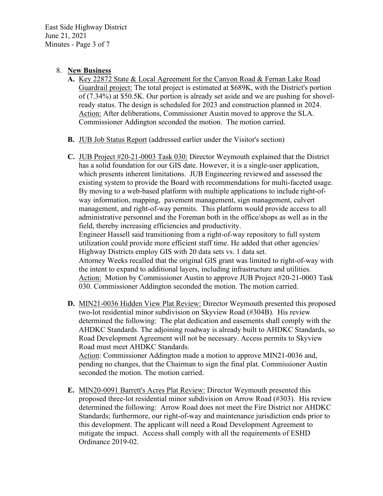East Side Highway District June 21, 2021 Minutes - Page 3 of 7

#### 8. **New Business**

- **A.** Key 22872 State & Local Agreement for the Canyon Road & Fernan Lake Road Guardrail project: The total project is estimated at \$689K, with the District's portion of (7.34%) at \$50.5K. Our portion is already set aside and we are pushing for shovelready status. The design is scheduled for 2023 and construction planned in 2024. Action: After deliberations, Commissioner Austin moved to approve the SLA. Commissioner Addington seconded the motion. The motion carried.
- **B.** JUB Job Status Report (addressed earlier under the Visitor's section)
- **C.** JUB Project #20-21-0003 Task 030: Director Weymouth explained that the District has a solid foundation for our GIS date. However, it is a single-user application, which presents inherent limitations. JUB Engineering reviewed and assessed the existing system to provide the Board with recommendations for multi-faceted usage. By moving to a web-based platform with multiple applications to include right-ofway information, mapping, pavement management, sign management, culvert management, and right-of-way permits. This platform would provide access to all administrative personnel and the Foreman both in the office/shops as well as in the field, thereby increasing efficiencies and productivity. Engineer Hassell said transitioning from a right-of-way repository to full system utilization could provide more efficient staff time. He added that other agencies/ Highway Districts employ GIS with 20 data sets vs. 1 data set. Attorney Weeks recalled that the original GIS grant was limited to right-of-way with the intent to expand to additional layers, including infrastructure and utilities. Action: Motion by Commissioner Austin to approve JUB Project #20-21-0003 Task 030. Commissioner Addington seconded the motion. The motion carried.
- **D.** MIN21-0036 Hidden View Plat Review: Director Weymouth presented this proposed two-lot residential minor subdivision on Skyview Road (#304B). His review determined the following: The plat dedication and easements shall comply with the AHDKC Standards. The adjoining roadway is already built to AHDKC Standards, so Road Development Agreement will not be necessary. Access permits to Skyview Road must meet AHDKC Standards.

Action: Commissioner Addington made a motion to approve MIN21-0036 and, pending no changes, that the Chairman to sign the final plat. Commissioner Austin seconded the motion. The motion carried.

**E.** MIN20-0091 Barrett's Acres Plat Review: Director Weymouth presented this proposed three-lot residential minor subdivision on Arrow Road (#303). His review determined the following: Arrow Road does not meet the Fire District nor AHDKC Standards; furthermore, our right-of-way and maintenance jurisdiction ends prior to this development. The applicant will need a Road Development Agreement to mitigate the impact. Access shall comply with all the requirements of ESHD Ordinance 2019-02.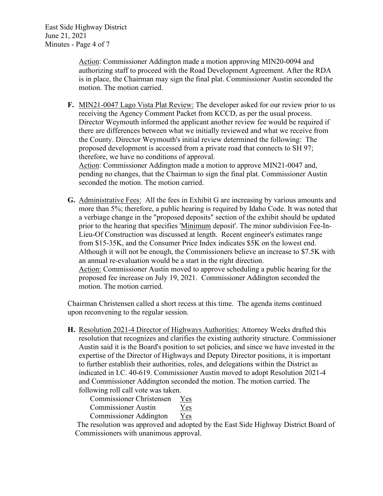East Side Highway District June 21, 2021 Minutes - Page 4 of 7

> Action: Commissioner Addington made a motion approving MIN20-0094 and authorizing staff to proceed with the Road Development Agreement. After the RDA is in place, the Chairman may sign the final plat. Commissioner Austin seconded the motion. The motion carried.

**F.** MIN21-0047 Lago Vista Plat Review: The developer asked for our review prior to us receiving the Agency Comment Packet from KCCD, as per the usual process. Director Weymouth informed the applicant another review fee would be required if there are differences between what we initially reviewed and what we receive from the County. Director Weymouth's initial review determined the following: The proposed development is accessed from a private road that connects to SH 97; therefore, we have no conditions of approval.

Action: Commissioner Addington made a motion to approve MIN21-0047 and, pending no changes, that the Chairman to sign the final plat. Commissioner Austin seconded the motion. The motion carried.

**G.** Administrative Fees: All the fees in Exhibit G are increasing by various amounts and more than 5%; therefore, a public hearing is required by Idaho Code. It was noted that a verbiage change in the "proposed deposits" section of the exhibit should be updated prior to the hearing that specifies 'Minimum deposit'. The minor subdivision Fee-In-Lieu-Of Construction was discussed at length. Recent engineer's estimates range from \$15-35K, and the Consumer Price Index indicates \$5K on the lowest end. Although it will not be enough, the Commissioners believe an increase to \$7.5K with an annual re-evaluation would be a start in the right direction. Action: Commissioner Austin moved to approve scheduling a public hearing for the proposed fee increase on July 19, 2021. Commissioner Addington seconded the motion. The motion carried.

Chairman Christensen called a short recess at this time. The agenda items continued upon reconvening to the regular session.

**H.** Resolution 2021-4 Director of Highways Authorities: Attorney Weeks drafted this resolution that recognizes and clarifies the existing authority structure. Commissioner Austin said it is the Board's position to set policies, and since we have invested in the expertise of the Director of Highways and Deputy Director positions, it is important to further establish their authorities, roles, and delegations within the District as indicated in I.C. 40-619. Commissioner Austin moved to adopt Resolution 2021-4 and Commissioner Addington seconded the motion. The motion carried. The following roll call vote was taken.

Commissioner Christensen Yes

Commissioner Austin Yes

Commissioner Addington Yes

 The resolution was approved and adopted by the East Side Highway District Board of Commissioners with unanimous approval.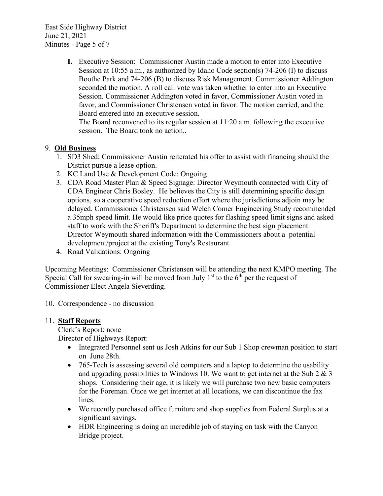East Side Highway District June 21, 2021 Minutes - Page 5 of 7

> **I.** Executive Session: Commissioner Austin made a motion to enter into Executive Session at 10:55 a.m., as authorized by Idaho Code section(s) 74-206 (I) to discuss Boothe Park and 74-206 (B) to discuss Risk Management. Commissioner Addington seconded the motion. A roll call vote was taken whether to enter into an Executive Session. Commissioner Addington voted in favor, Commissioner Austin voted in favor, and Commissioner Christensen voted in favor. The motion carried, and the Board entered into an executive session.

The Board reconvened to its regular session at 11:20 a.m. following the executive session. The Board took no action..

# 9. **Old Business**

- 1. SD3 Shed: Commissioner Austin reiterated his offer to assist with financing should the District pursue a lease option.
- 2. KC Land Use & Development Code: Ongoing
- 3. CDA Road Master Plan & Speed Signage: Director Weymouth connected with City of CDA Engineer Chris Bosley. He believes the City is still determining specific design options, so a cooperative speed reduction effort where the jurisdictions adjoin may be delayed. Commissioner Christensen said Welch Comer Engineering Study recommended a 35mph speed limit. He would like price quotes for flashing speed limit signs and asked staff to work with the Sheriff's Department to determine the best sign placement. Director Weymouth shared information with the Commissioners about a potential development/project at the existing Tony's Restaurant.
- 4. Road Validations: Ongoing

Upcoming Meetings: Commissioner Christensen will be attending the next KMPO meeting. The Special Call for swearing-in will be moved from July  $1<sup>st</sup>$  to the  $6<sup>th</sup>$  per the request of Commissioner Elect Angela Sieverding.

10. Correspondence - no discussion

#### 11. **Staff Reports**

Clerk's Report: none Director of Highways Report:

- Integrated Personnel sent us Josh Atkins for our Sub 1 Shop crewman position to start on June 28th.
- 765-Tech is assessing several old computers and a laptop to determine the usability and upgrading possibilities to Windows 10. We want to get internet at the Sub 2  $\&$  3 shops. Considering their age, it is likely we will purchase two new basic computers for the Foreman. Once we get internet at all locations, we can discontinue the fax lines.
- We recently purchased office furniture and shop supplies from Federal Surplus at a significant savings.
- HDR Engineering is doing an incredible job of staying on task with the Canyon Bridge project.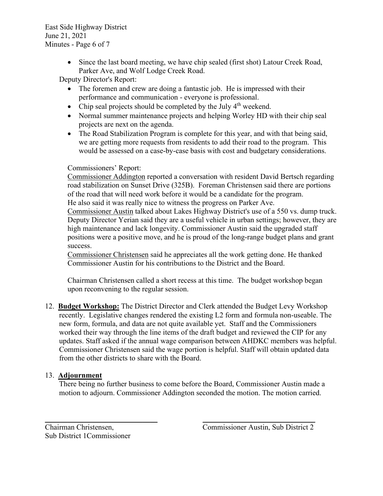East Side Highway District June 21, 2021 Minutes - Page 6 of 7

> • Since the last board meeting, we have chip sealed (first shot) Latour Creek Road, Parker Ave, and Wolf Lodge Creek Road.

Deputy Director's Report:

- The foremen and crew are doing a fantastic job. He is impressed with their performance and communication - everyone is professional.
- Chip seal projects should be completed by the July  $4<sup>th</sup>$  weekend.
- Normal summer maintenance projects and helping Worley HD with their chip seal projects are next on the agenda.
- The Road Stabilization Program is complete for this year, and with that being said, we are getting more requests from residents to add their road to the program. This would be assessed on a case-by-case basis with cost and budgetary considerations.

# Commissioners' Report:

Commissioner Addington reported a conversation with resident David Bertsch regarding road stabilization on Sunset Drive (325B). Foreman Christensen said there are portions of the road that will need work before it would be a candidate for the program. He also said it was really nice to witness the progress on Parker Ave.

Commissioner Austin talked about Lakes Highway District's use of a 550 vs. dump truck. Deputy Director Yerian said they are a useful vehicle in urban settings; however, they are high maintenance and lack longevity. Commissioner Austin said the upgraded staff positions were a positive move, and he is proud of the long-range budget plans and grant success.

Commissioner Christensen said he appreciates all the work getting done. He thanked Commissioner Austin for his contributions to the District and the Board.

Chairman Christensen called a short recess at this time. The budget workshop began upon reconvening to the regular session.

12. **Budget Workshop:** The District Director and Clerk attended the Budget Levy Workshop recently. Legislative changes rendered the existing L2 form and formula non-useable. The new form, formula, and data are not quite available yet. Staff and the Commissioners worked their way through the line items of the draft budget and reviewed the CIP for any updates. Staff asked if the annual wage comparison between AHDKC members was helpful. Commissioner Christensen said the wage portion is helpful. Staff will obtain updated data from the other districts to share with the Board.

# 13. **Adjournment**

There being no further business to come before the Board, Commissioner Austin made a motion to adjourn. Commissioner Addington seconded the motion. The motion carried.

 $\overline{\phantom{a}............a}$  , and the contract of  $\overline{\phantom{a}.........a}$  , and  $\overline{\phantom{a}.........a}$  , and  $\overline{\phantom{a}.........a}$  , and  $\overline{\phantom{a}......a}$  , and  $\overline{\phantom{a}......a}$  , and  $\overline{\phantom{a}......a}$  , and  $\overline{\phantom{a}......a}$  , and  $\overline{\phantom{a}......a}$  , and  $\$